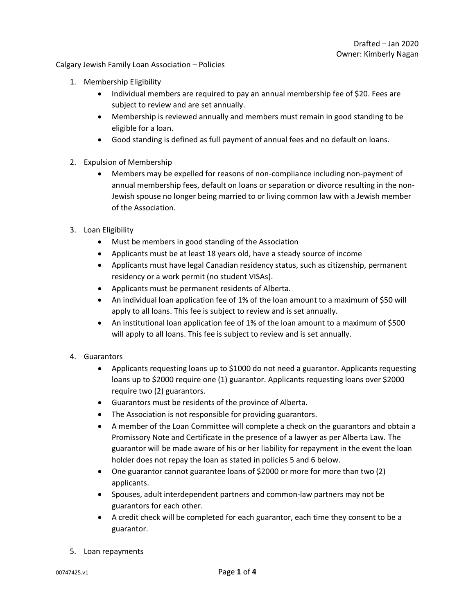Calgary Jewish Family Loan Association – Policies

- 1. Membership Eligibility
	- Individual members are required to pay an annual membership fee of \$20. Fees are subject to review and are set annually.
	- Membership is reviewed annually and members must remain in good standing to be eligible for a loan.
	- Good standing is defined as full payment of annual fees and no default on loans.
- 2. Expulsion of Membership
	- Members may be expelled for reasons of non-compliance including non-payment of annual membership fees, default on loans or separation or divorce resulting in the non-Jewish spouse no longer being married to or living common law with a Jewish member of the Association.
- 3. Loan Eligibility
	- Must be members in good standing of the Association
	- Applicants must be at least 18 years old, have a steady source of income
	- Applicants must have legal Canadian residency status, such as citizenship, permanent residency or a work permit (no student VISAs).
	- Applicants must be permanent residents of Alberta.
	- An individual loan application fee of 1% of the loan amount to a maximum of \$50 will apply to all loans. This fee is subject to review and is set annually.
	- An institutional loan application fee of 1% of the loan amount to a maximum of \$500 will apply to all loans. This fee is subject to review and is set annually.
- 4. Guarantors
	- Applicants requesting loans up to \$1000 do not need a guarantor. Applicants requesting loans up to \$2000 require one (1) guarantor. Applicants requesting loans over \$2000 require two (2) guarantors.
	- Guarantors must be residents of the province of Alberta.
	- The Association is not responsible for providing guarantors.
	- A member of the Loan Committee will complete a check on the guarantors and obtain a Promissory Note and Certificate in the presence of a lawyer as per Alberta Law. The guarantor will be made aware of his or her liability for repayment in the event the loan holder does not repay the loan as stated in policies 5 and 6 below.
	- One guarantor cannot guarantee loans of \$2000 or more for more than two (2) applicants.
	- Spouses, adult interdependent partners and common-law partners may not be guarantors for each other.
	- A credit check will be completed for each guarantor, each time they consent to be a guarantor.
- 5. Loan repayments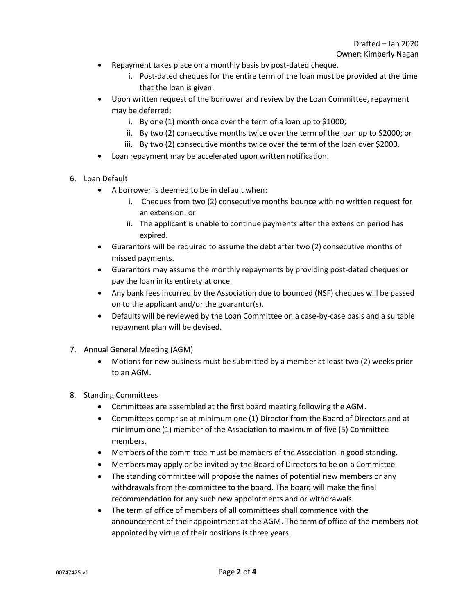- Repayment takes place on a monthly basis by post-dated cheque.
	- i. Post-dated cheques for the entire term of the loan must be provided at the time that the loan is given.
- Upon written request of the borrower and review by the Loan Committee, repayment may be deferred:
	- i. By one (1) month once over the term of a loan up to \$1000;
	- ii. By two (2) consecutive months twice over the term of the loan up to \$2000; or
	- iii. By two (2) consecutive months twice over the term of the loan over \$2000.
- Loan repayment may be accelerated upon written notification.
- 6. Loan Default
	- A borrower is deemed to be in default when:
		- i. Cheques from two (2) consecutive months bounce with no written request for an extension; or
		- ii. The applicant is unable to continue payments after the extension period has expired.
	- Guarantors will be required to assume the debt after two (2) consecutive months of missed payments.
	- Guarantors may assume the monthly repayments by providing post-dated cheques or pay the loan in its entirety at once.
	- Any bank fees incurred by the Association due to bounced (NSF) cheques will be passed on to the applicant and/or the guarantor(s).
	- Defaults will be reviewed by the Loan Committee on a case-by-case basis and a suitable repayment plan will be devised.
- 7. Annual General Meeting (AGM)
	- Motions for new business must be submitted by a member at least two (2) weeks prior to an AGM.
- 8. Standing Committees
	- Committees are assembled at the first board meeting following the AGM.
	- Committees comprise at minimum one (1) Director from the Board of Directors and at minimum one (1) member of the Association to maximum of five (5) Committee members.
	- Members of the committee must be members of the Association in good standing.
	- Members may apply or be invited by the Board of Directors to be on a Committee.
	- The standing committee will propose the names of potential new members or any withdrawals from the committee to the board. The board will make the final recommendation for any such new appointments and or withdrawals.
	- The term of office of members of all committees shall commence with the announcement of their appointment at the AGM. The term of office of the members not appointed by virtue of their positions is three years.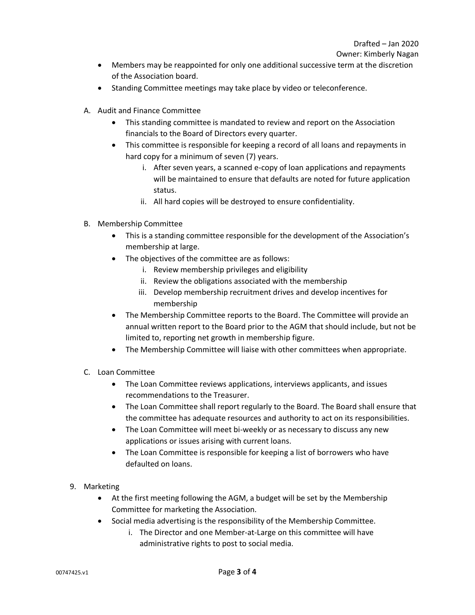Owner: Kimberly Nagan

- Members may be reappointed for only one additional successive term at the discretion of the Association board.
- Standing Committee meetings may take place by video or teleconference.
- A. Audit and Finance Committee
	- This standing committee is mandated to review and report on the Association financials to the Board of Directors every quarter.
	- This committee is responsible for keeping a record of all loans and repayments in hard copy for a minimum of seven (7) years.
		- i. After seven years, a scanned e-copy of loan applications and repayments will be maintained to ensure that defaults are noted for future application status.
		- ii. All hard copies will be destroyed to ensure confidentiality.
- B. Membership Committee
	- This is a standing committee responsible for the development of the Association's membership at large.
	- The objectives of the committee are as follows:
		- i. Review membership privileges and eligibility
		- ii. Review the obligations associated with the membership
		- iii. Develop membership recruitment drives and develop incentives for membership
	- The Membership Committee reports to the Board. The Committee will provide an annual written report to the Board prior to the AGM that should include, but not be limited to, reporting net growth in membership figure.
	- The Membership Committee will liaise with other committees when appropriate.
- C. Loan Committee
	- The Loan Committee reviews applications, interviews applicants, and issues recommendations to the Treasurer.
	- The Loan Committee shall report regularly to the Board. The Board shall ensure that the committee has adequate resources and authority to act on its responsibilities.
	- The Loan Committee will meet bi-weekly or as necessary to discuss any new applications or issues arising with current loans.
	- The Loan Committee is responsible for keeping a list of borrowers who have defaulted on loans.
- 9. Marketing
	- At the first meeting following the AGM, a budget will be set by the Membership Committee for marketing the Association.
	- Social media advertising is the responsibility of the Membership Committee.
		- i. The Director and one Member-at-Large on this committee will have administrative rights to post to social media.